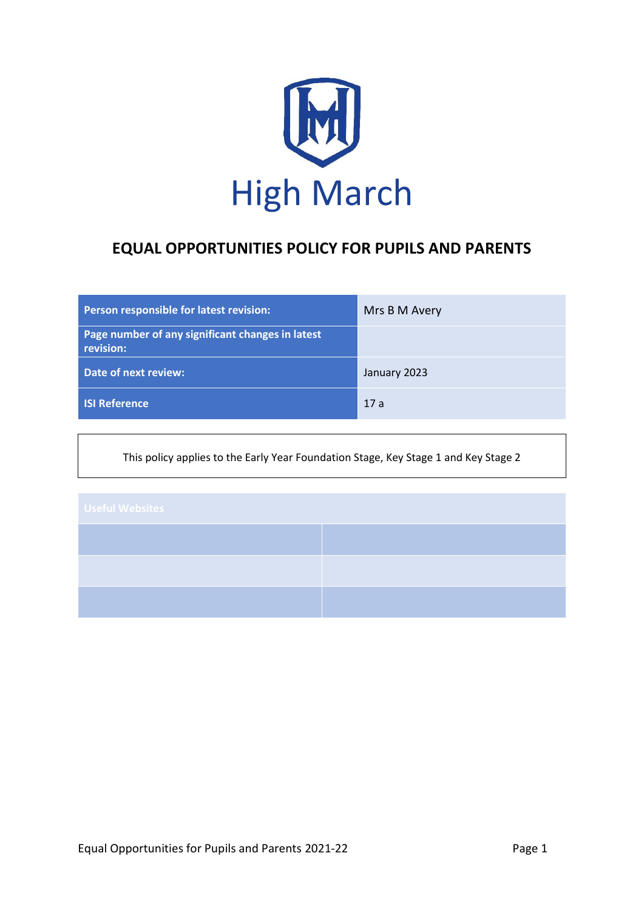

# **EQUAL OPPORTUNITIES POLICY FOR PUPILS AND PARENTS**

| Person responsible for latest revision:                       | Mrs B M Avery |
|---------------------------------------------------------------|---------------|
| Page number of any significant changes in latest<br>revision: |               |
| Date of next review:                                          | January 2023  |
| <b>ISI Reference</b>                                          | 17a           |

This policy applies to the Early Year Foundation Stage, Key Stage 1 and Key Stage 2

| <b>Useful Websites</b> |  |
|------------------------|--|
|                        |  |
|                        |  |
|                        |  |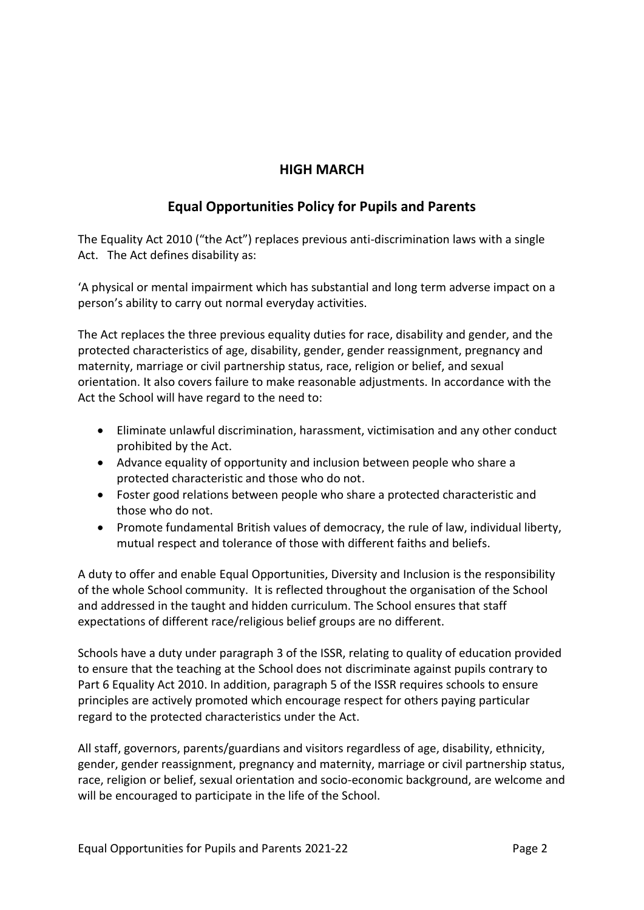# **HIGH MARCH**

# **Equal Opportunities Policy for Pupils and Parents**

The Equality Act 2010 ("the Act") replaces previous anti-discrimination laws with a single Act. The Act defines disability as:

'A physical or mental impairment which has substantial and long term adverse impact on a person's ability to carry out normal everyday activities.

The Act replaces the three previous equality duties for race, disability and gender, and the protected characteristics of age, disability, gender, gender reassignment, pregnancy and maternity, marriage or civil partnership status, race, religion or belief, and sexual orientation. It also covers failure to make reasonable adjustments. In accordance with the Act the School will have regard to the need to:

- Eliminate unlawful discrimination, harassment, victimisation and any other conduct prohibited by the Act.
- Advance equality of opportunity and inclusion between people who share a protected characteristic and those who do not.
- Foster good relations between people who share a protected characteristic and those who do not.
- Promote fundamental British values of democracy, the rule of law, individual liberty, mutual respect and tolerance of those with different faiths and beliefs.

A duty to offer and enable Equal Opportunities, Diversity and Inclusion is the responsibility of the whole School community. It is reflected throughout the organisation of the School and addressed in the taught and hidden curriculum. The School ensures that staff expectations of different race/religious belief groups are no different.

Schools have a duty under paragraph 3 of the ISSR, relating to quality of education provided to ensure that the teaching at the School does not discriminate against pupils contrary to Part 6 Equality Act 2010. In addition, paragraph 5 of the ISSR requires schools to ensure principles are actively promoted which encourage respect for others paying particular regard to the protected characteristics under the Act.

All staff, governors, parents/guardians and visitors regardless of age, disability, ethnicity, gender, gender reassignment, pregnancy and maternity, marriage or civil partnership status, race, religion or belief, sexual orientation and socio-economic background, are welcome and will be encouraged to participate in the life of the School.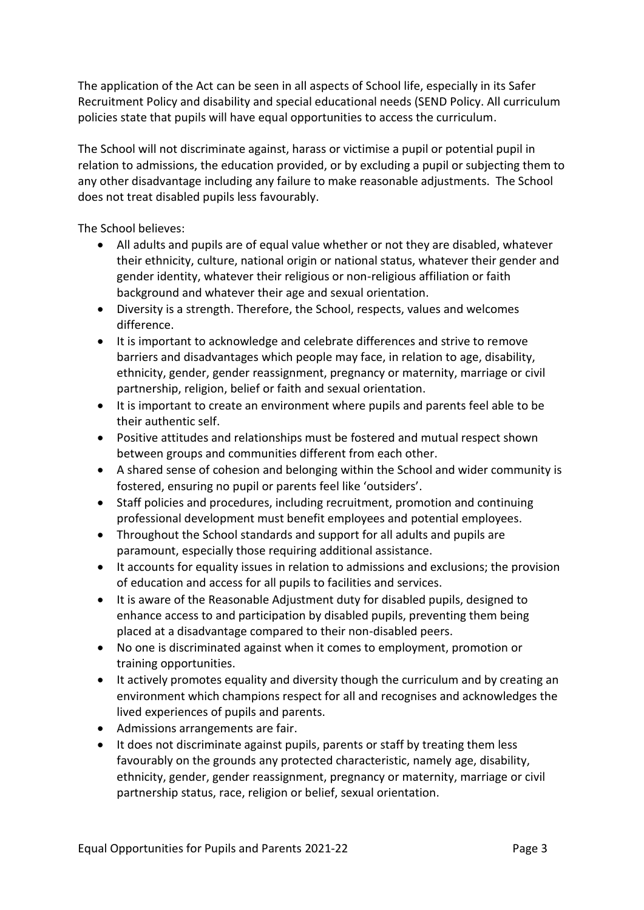The application of the Act can be seen in all aspects of School life, especially in its Safer Recruitment Policy and disability and special educational needs (SEND Policy. All curriculum policies state that pupils will have equal opportunities to access the curriculum.

The School will not discriminate against, harass or victimise a pupil or potential pupil in relation to admissions, the education provided, or by excluding a pupil or subjecting them to any other disadvantage including any failure to make reasonable adjustments. The School does not treat disabled pupils less favourably.

The School believes:

- All adults and pupils are of equal value whether or not they are disabled, whatever their ethnicity, culture, national origin or national status, whatever their gender and gender identity, whatever their religious or non-religious affiliation or faith background and whatever their age and sexual orientation.
- Diversity is a strength. Therefore, the School, respects, values and welcomes difference.
- It is important to acknowledge and celebrate differences and strive to remove barriers and disadvantages which people may face, in relation to age, disability, ethnicity, gender, gender reassignment, pregnancy or maternity, marriage or civil partnership, religion, belief or faith and sexual orientation.
- It is important to create an environment where pupils and parents feel able to be their authentic self.
- Positive attitudes and relationships must be fostered and mutual respect shown between groups and communities different from each other.
- A shared sense of cohesion and belonging within the School and wider community is fostered, ensuring no pupil or parents feel like 'outsiders'.
- Staff policies and procedures, including recruitment, promotion and continuing professional development must benefit employees and potential employees.
- Throughout the School standards and support for all adults and pupils are paramount, especially those requiring additional assistance.
- It accounts for equality issues in relation to admissions and exclusions; the provision of education and access for all pupils to facilities and services.
- It is aware of the Reasonable Adjustment duty for disabled pupils, designed to enhance access to and participation by disabled pupils, preventing them being placed at a disadvantage compared to their non-disabled peers.
- No one is discriminated against when it comes to employment, promotion or training opportunities.
- It actively promotes equality and diversity though the curriculum and by creating an environment which champions respect for all and recognises and acknowledges the lived experiences of pupils and parents.
- Admissions arrangements are fair.
- It does not discriminate against pupils, parents or staff by treating them less favourably on the grounds any protected characteristic, namely age, disability, ethnicity, gender, gender reassignment, pregnancy or maternity, marriage or civil partnership status, race, religion or belief, sexual orientation.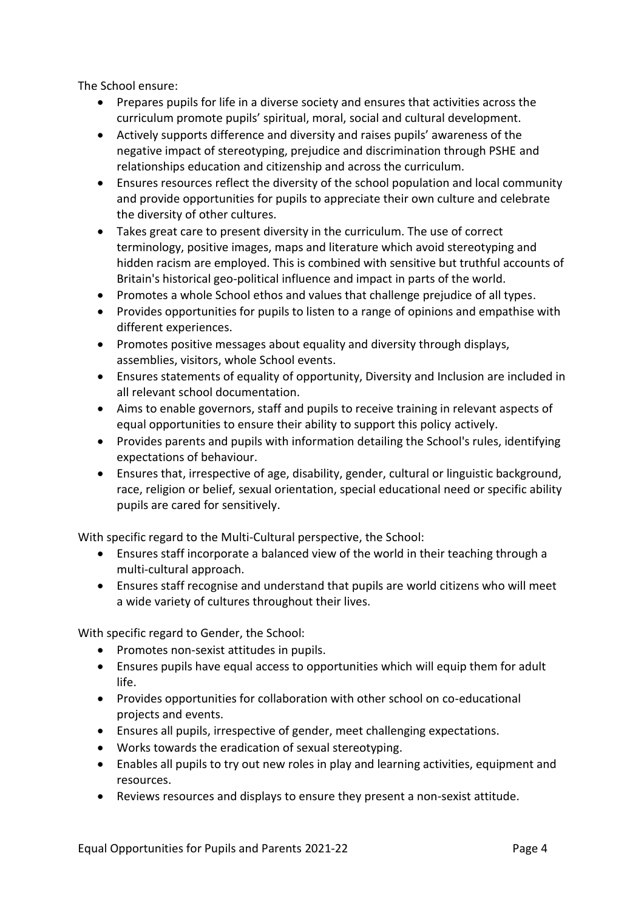The School ensure:

- Prepares pupils for life in a diverse society and ensures that activities across the curriculum promote pupils' spiritual, moral, social and cultural development.
- Actively supports difference and diversity and raises pupils' awareness of the negative impact of stereotyping, prejudice and discrimination through PSHE and relationships education and citizenship and across the curriculum.
- Ensures resources reflect the diversity of the school population and local community and provide opportunities for pupils to appreciate their own culture and celebrate the diversity of other cultures.
- Takes great care to present diversity in the curriculum. The use of correct terminology, positive images, maps and literature which avoid stereotyping and hidden racism are employed. This is combined with sensitive but truthful accounts of Britain's historical geo-political influence and impact in parts of the world.
- Promotes a whole School ethos and values that challenge prejudice of all types.
- Provides opportunities for pupils to listen to a range of opinions and empathise with different experiences.
- Promotes positive messages about equality and diversity through displays, assemblies, visitors, whole School events.
- Ensures statements of equality of opportunity, Diversity and Inclusion are included in all relevant school documentation.
- Aims to enable governors, staff and pupils to receive training in relevant aspects of equal opportunities to ensure their ability to support this policy actively.
- Provides parents and pupils with information detailing the School's rules, identifying expectations of behaviour.
- Ensures that, irrespective of age, disability, gender, cultural or linguistic background, race, religion or belief, sexual orientation, special educational need or specific ability pupils are cared for sensitively.

With specific regard to the Multi-Cultural perspective, the School:

- Ensures staff incorporate a balanced view of the world in their teaching through a multi-cultural approach.
- Ensures staff recognise and understand that pupils are world citizens who will meet a wide variety of cultures throughout their lives.

With specific regard to Gender, the School:

- Promotes non-sexist attitudes in pupils.
- Ensures pupils have equal access to opportunities which will equip them for adult life.
- Provides opportunities for collaboration with other school on co-educational projects and events.
- Ensures all pupils, irrespective of gender, meet challenging expectations.
- Works towards the eradication of sexual stereotyping.
- Enables all pupils to try out new roles in play and learning activities, equipment and resources.
- Reviews resources and displays to ensure they present a non-sexist attitude.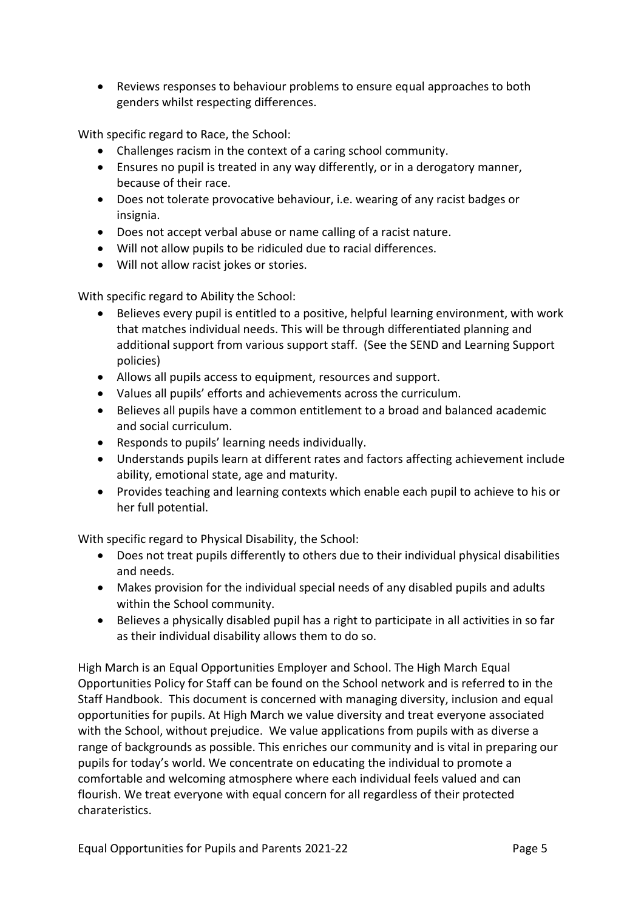Reviews responses to behaviour problems to ensure equal approaches to both genders whilst respecting differences.

With specific regard to Race, the School:

- Challenges racism in the context of a caring school community.
- Ensures no pupil is treated in any way differently, or in a derogatory manner, because of their race.
- Does not tolerate provocative behaviour, i.e. wearing of any racist badges or insignia.
- Does not accept verbal abuse or name calling of a racist nature.
- Will not allow pupils to be ridiculed due to racial differences.
- Will not allow racist jokes or stories.

With specific regard to Ability the School:

- Believes every pupil is entitled to a positive, helpful learning environment, with work that matches individual needs. This will be through differentiated planning and additional support from various support staff. (See the SEND and Learning Support policies)
- Allows all pupils access to equipment, resources and support.
- Values all pupils' efforts and achievements across the curriculum.
- Believes all pupils have a common entitlement to a broad and balanced academic and social curriculum.
- Responds to pupils' learning needs individually.
- Understands pupils learn at different rates and factors affecting achievement include ability, emotional state, age and maturity.
- Provides teaching and learning contexts which enable each pupil to achieve to his or her full potential.

With specific regard to Physical Disability, the School:

- Does not treat pupils differently to others due to their individual physical disabilities and needs.
- Makes provision for the individual special needs of any disabled pupils and adults within the School community.
- Believes a physically disabled pupil has a right to participate in all activities in so far as their individual disability allows them to do so.

High March is an Equal Opportunities Employer and School. The High March Equal Opportunities Policy for Staff can be found on the School network and is referred to in the Staff Handbook. This document is concerned with managing diversity, inclusion and equal opportunities for pupils. At High March we value diversity and treat everyone associated with the School, without prejudice. We value applications from pupils with as diverse a range of backgrounds as possible. This enriches our community and is vital in preparing our pupils for today's world. We concentrate on educating the individual to promote a comfortable and welcoming atmosphere where each individual feels valued and can flourish. We treat everyone with equal concern for all regardless of their protected charateristics.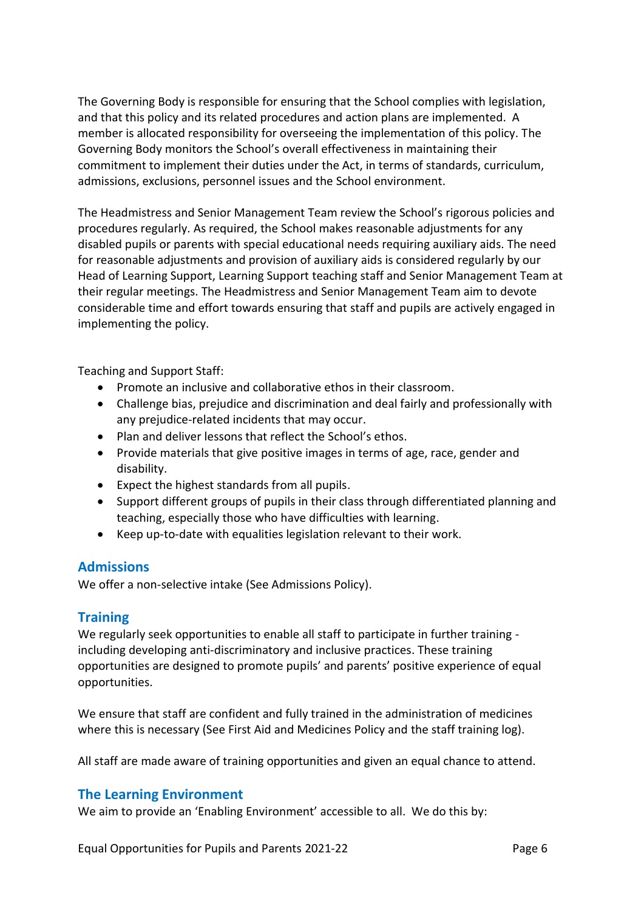The Governing Body is responsible for ensuring that the School complies with legislation, and that this policy and its related procedures and action plans are implemented. A member is allocated responsibility for overseeing the implementation of this policy. The Governing Body monitors the School's overall effectiveness in maintaining their commitment to implement their duties under the Act, in terms of standards, curriculum, admissions, exclusions, personnel issues and the School environment.

The Headmistress and Senior Management Team review the School's rigorous policies and procedures regularly. As required, the School makes reasonable adjustments for any disabled pupils or parents with special educational needs requiring auxiliary aids. The need for reasonable adjustments and provision of auxiliary aids is considered regularly by our Head of Learning Support, Learning Support teaching staff and Senior Management Team at their regular meetings. The Headmistress and Senior Management Team aim to devote considerable time and effort towards ensuring that staff and pupils are actively engaged in implementing the policy.

Teaching and Support Staff:

- Promote an inclusive and collaborative ethos in their classroom.
- Challenge bias, prejudice and discrimination and deal fairly and professionally with any prejudice-related incidents that may occur.
- Plan and deliver lessons that reflect the School's ethos.
- Provide materials that give positive images in terms of age, race, gender and disability.
- Expect the highest standards from all pupils.
- Support different groups of pupils in their class through differentiated planning and teaching, especially those who have difficulties with learning.
- Keep up-to-date with equalities legislation relevant to their work.

#### **Admissions**

We offer a non-selective intake (See Admissions Policy).

#### **Training**

We regularly seek opportunities to enable all staff to participate in further training including developing anti-discriminatory and inclusive practices. These training opportunities are designed to promote pupils' and parents' positive experience of equal opportunities.

We ensure that staff are confident and fully trained in the administration of medicines where this is necessary (See First Aid and Medicines Policy and the staff training log).

All staff are made aware of training opportunities and given an equal chance to attend.

#### **The Learning Environment**

We aim to provide an 'Enabling Environment' accessible to all. We do this by: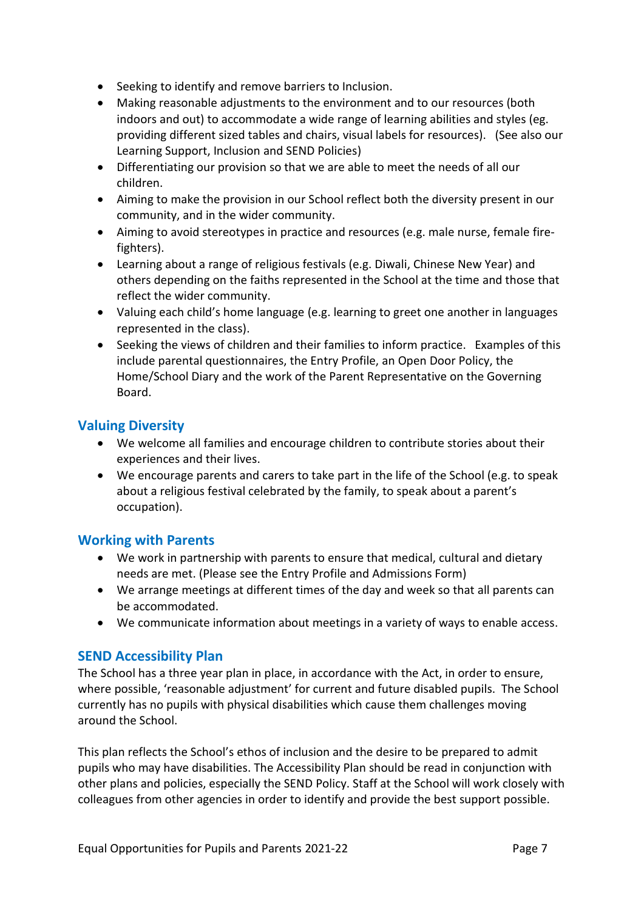- Seeking to identify and remove barriers to Inclusion.
- Making reasonable adjustments to the environment and to our resources (both indoors and out) to accommodate a wide range of learning abilities and styles (eg. providing different sized tables and chairs, visual labels for resources). (See also our Learning Support, Inclusion and SEND Policies)
- Differentiating our provision so that we are able to meet the needs of all our children.
- Aiming to make the provision in our School reflect both the diversity present in our community, and in the wider community.
- Aiming to avoid stereotypes in practice and resources (e.g. male nurse, female firefighters).
- Learning about a range of religious festivals (e.g. Diwali, Chinese New Year) and others depending on the faiths represented in the School at the time and those that reflect the wider community.
- Valuing each child's home language (e.g. learning to greet one another in languages represented in the class).
- Seeking the views of children and their families to inform practice. Examples of this include parental questionnaires, the Entry Profile, an Open Door Policy, the Home/School Diary and the work of the Parent Representative on the Governing Board.

# **Valuing Diversity**

- We welcome all families and encourage children to contribute stories about their experiences and their lives.
- We encourage parents and carers to take part in the life of the School (e.g. to speak about a religious festival celebrated by the family, to speak about a parent's occupation).

# **Working with Parents**

- We work in partnership with parents to ensure that medical, cultural and dietary needs are met. (Please see the Entry Profile and Admissions Form)
- We arrange meetings at different times of the day and week so that all parents can be accommodated.
- We communicate information about meetings in a variety of ways to enable access.

# **SEND Accessibility Plan**

The School has a three year plan in place, in accordance with the Act, in order to ensure, where possible, 'reasonable adjustment' for current and future disabled pupils. The School currently has no pupils with physical disabilities which cause them challenges moving around the School.

This plan reflects the School's ethos of inclusion and the desire to be prepared to admit pupils who may have disabilities. The Accessibility Plan should be read in conjunction with other plans and policies, especially the SEND Policy. Staff at the School will work closely with colleagues from other agencies in order to identify and provide the best support possible.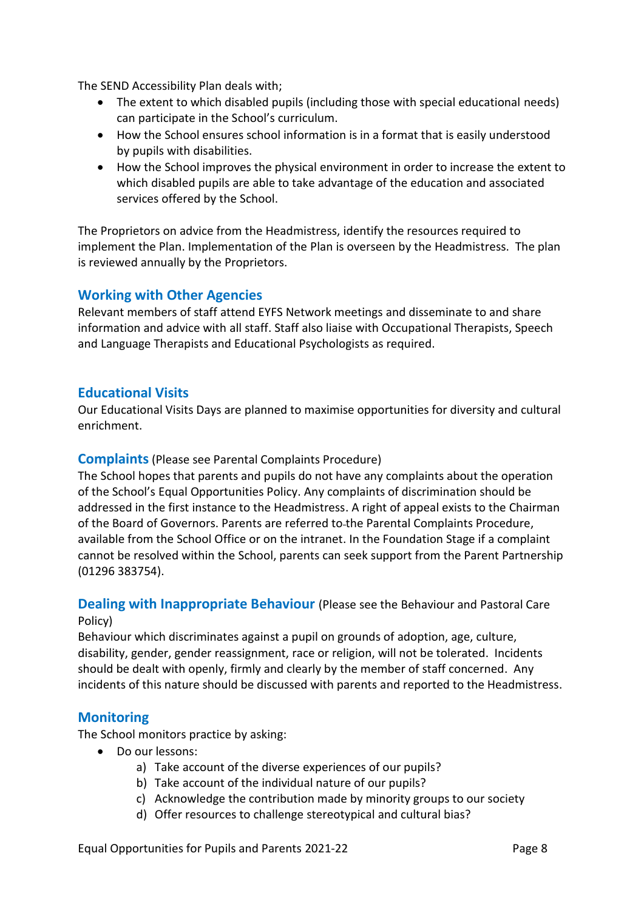The SEND Accessibility Plan deals with;

- The extent to which disabled pupils (including those with special educational needs) can participate in the School's curriculum.
- How the School ensures school information is in a format that is easily understood by pupils with disabilities.
- How the School improves the physical environment in order to increase the extent to which disabled pupils are able to take advantage of the education and associated services offered by the School.

The Proprietors on advice from the Headmistress, identify the resources required to implement the Plan. Implementation of the Plan is overseen by the Headmistress. The plan is reviewed annually by the Proprietors.

# **Working with Other Agencies**

Relevant members of staff attend EYFS Network meetings and disseminate to and share information and advice with all staff. Staff also liaise with Occupational Therapists, Speech and Language Therapists and Educational Psychologists as required.

#### **Educational Visits**

Our Educational Visits Days are planned to maximise opportunities for diversity and cultural enrichment.

#### **Complaints**(Please see Parental Complaints Procedure)

The School hopes that parents and pupils do not have any complaints about the operation of the School's Equal Opportunities Policy. Any complaints of discrimination should be addressed in the first instance to the Headmistress. A right of appeal exists to the Chairman of the Board of Governors. Parents are referred to the Parental Complaints Procedure, available from the School Office or on the intranet. In the Foundation Stage if a complaint cannot be resolved within the School, parents can seek support from the Parent Partnership (01296 383754).

#### **Dealing with Inappropriate Behaviour** (Please see the Behaviour and Pastoral Care Policy)

Behaviour which discriminates against a pupil on grounds of adoption, age, culture, disability, gender, gender reassignment, race or religion, will not be tolerated. Incidents should be dealt with openly, firmly and clearly by the member of staff concerned. Any incidents of this nature should be discussed with parents and reported to the Headmistress.

# **Monitoring**

The School monitors practice by asking:

- Do our lessons:
	- a) Take account of the diverse experiences of our pupils?
	- b) Take account of the individual nature of our pupils?
	- c) Acknowledge the contribution made by minority groups to our society
	- d) Offer resources to challenge stereotypical and cultural bias?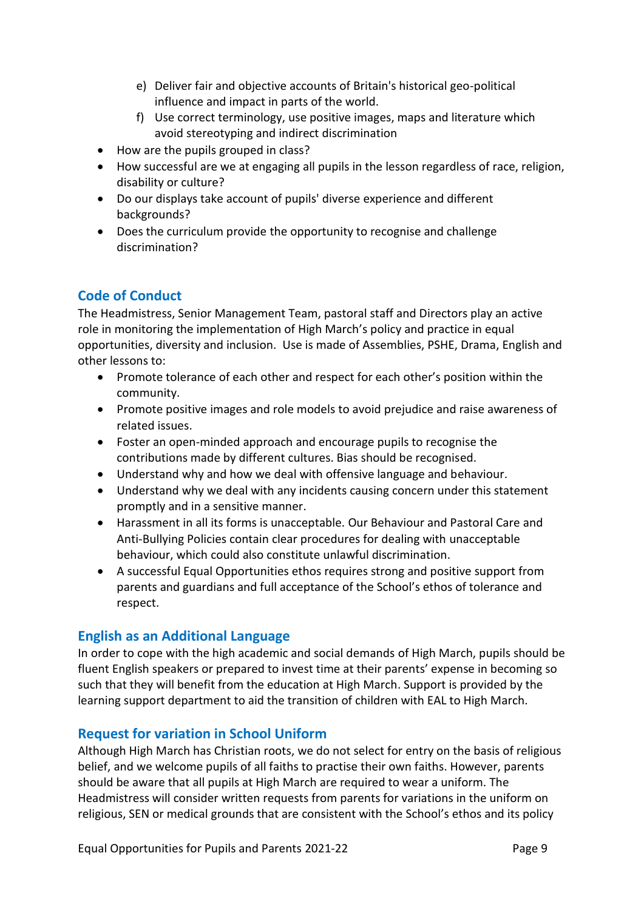- e) Deliver fair and objective accounts of Britain's historical geo-political influence and impact in parts of the world.
- f) Use correct terminology, use positive images, maps and literature which avoid stereotyping and indirect discrimination
- How are the pupils grouped in class?
- How successful are we at engaging all pupils in the lesson regardless of race, religion, disability or culture?
- Do our displays take account of pupils' diverse experience and different backgrounds?
- Does the curriculum provide the opportunity to recognise and challenge discrimination?

# **Code of Conduct**

The Headmistress, Senior Management Team, pastoral staff and Directors play an active role in monitoring the implementation of High March's policy and practice in equal opportunities, diversity and inclusion. Use is made of Assemblies, PSHE, Drama, English and other lessons to:

- Promote tolerance of each other and respect for each other's position within the community.
- Promote positive images and role models to avoid prejudice and raise awareness of related issues.
- Foster an open-minded approach and encourage pupils to recognise the contributions made by different cultures. Bias should be recognised.
- Understand why and how we deal with offensive language and behaviour.
- Understand why we deal with any incidents causing concern under this statement promptly and in a sensitive manner.
- Harassment in all its forms is unacceptable. Our Behaviour and Pastoral Care and Anti-Bullying Policies contain clear procedures for dealing with unacceptable behaviour, which could also constitute unlawful discrimination.
- A successful Equal Opportunities ethos requires strong and positive support from parents and guardians and full acceptance of the School's ethos of tolerance and respect.

# **English as an Additional Language**

In order to cope with the high academic and social demands of High March, pupils should be fluent English speakers or prepared to invest time at their parents' expense in becoming so such that they will benefit from the education at High March. Support is provided by the learning support department to aid the transition of children with EAL to High March.

# **Request for variation in School Uniform**

Although High March has Christian roots, we do not select for entry on the basis of religious belief, and we welcome pupils of all faiths to practise their own faiths. However, parents should be aware that all pupils at High March are required to wear a uniform. The Headmistress will consider written requests from parents for variations in the uniform on religious, SEN or medical grounds that are consistent with the School's ethos and its policy